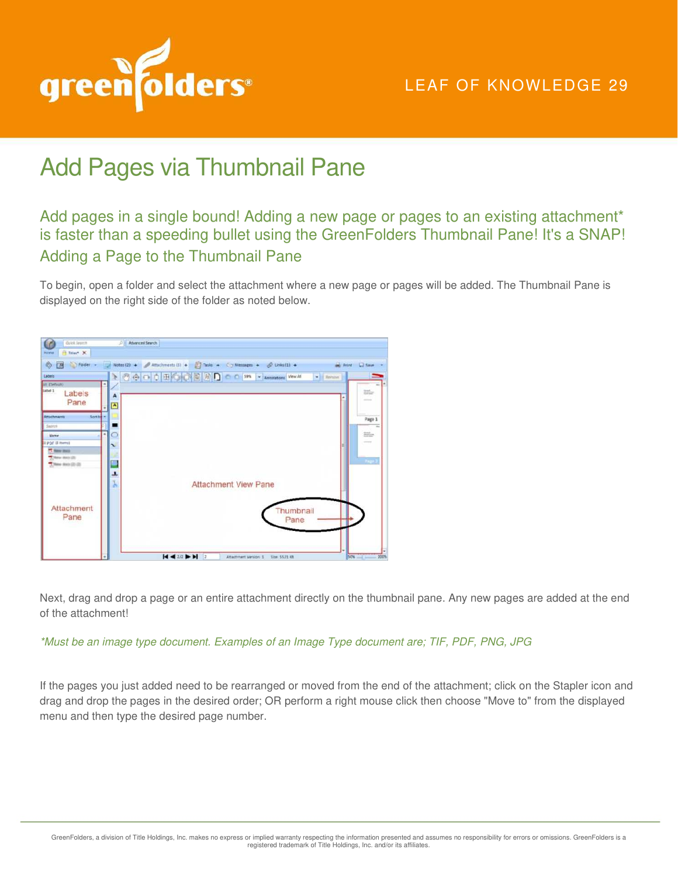

## Add Pages via Thumbnail Pane

Add pages in a single bound! Adding a new page or pages to an existing attachment\* is faster than a speeding bullet using the GreenFolders Thumbnail Pane! It's a SNAP! Adding a Page to the Thumbnail Pane

To begin, open a folder and select the attachment where a new page or pages will be added. The Thumbnail Pane is displayed on the right side of the folder as noted below.



Next, drag and drop a page or an entire attachment directly on the thumbnail pane. Any new pages are added at the end of the attachment!

*\*Must be an image type document. Examples of an Image Type document are; TIF, PDF, PNG, JPG* 

If the pages you just added need to be rearranged or moved from the end of the attachment; click on the Stapler icon and drag and drop the pages in the desired order; OR perform a right mouse click then choose "Move to" from the displayed menu and then type the desired page number.